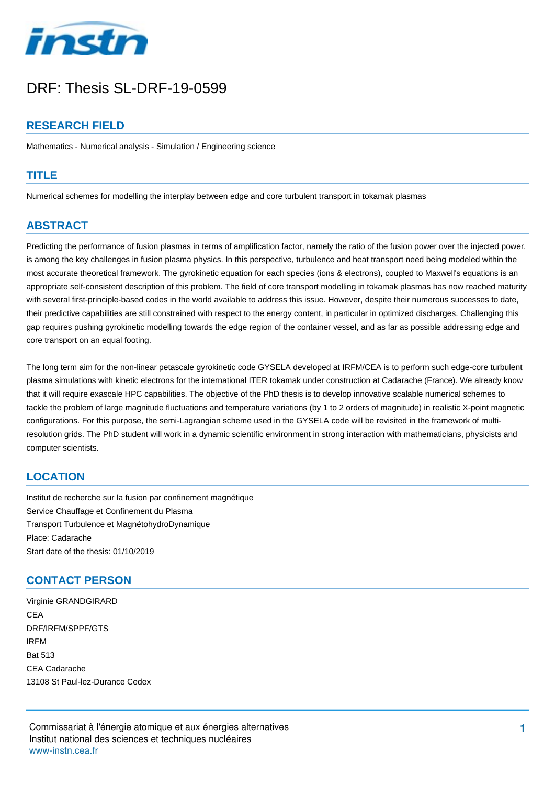

# DRF: Thesis SL-DRF-19-0599

## **RESEARCH FIELD**

Mathematics - Numerical analysis - Simulation / Engineering science

#### **TITLE**

Numerical schemes for modelling the interplay between edge and core turbulent transport in tokamak plasmas

## **ABSTRACT**

Predicting the performance of fusion plasmas in terms of amplification factor, namely the ratio of the fusion power over the injected power, is among the key challenges in fusion plasma physics. In this perspective, turbulence and heat transport need being modeled within the most accurate theoretical framework. The gyrokinetic equation for each species (ions & electrons), coupled to Maxwell's equations is an appropriate self-consistent description of this problem. The field of core transport modelling in tokamak plasmas has now reached maturity with several first-principle-based codes in the world available to address this issue. However, despite their numerous successes to date, their predictive capabilities are still constrained with respect to the energy content, in particular in optimized discharges. Challenging this gap requires pushing gyrokinetic modelling towards the edge region of the container vessel, and as far as possible addressing edge and core transport on an equal footing.

The long term aim for the non-linear petascale gyrokinetic code GYSELA developed at IRFM/CEA is to perform such edge-core turbulent plasma simulations with kinetic electrons for the international ITER tokamak under construction at Cadarache (France). We already know that it will require exascale HPC capabilities. The objective of the PhD thesis is to develop innovative scalable numerical schemes to tackle the problem of large magnitude fluctuations and temperature variations (by 1 to 2 orders of magnitude) in realistic X-point magnetic configurations. For this purpose, the semi-Lagrangian scheme used in the GYSELA code will be revisited in the framework of multiresolution grids. The PhD student will work in a dynamic scientific environment in strong interaction with mathematicians, physicists and computer scientists.

#### **LOCATION**

Institut de recherche sur la fusion par confinement magnétique Service Chauffage et Confinement du Plasma Transport Turbulence et MagnétohydroDynamique Place: Cadarache Start date of the thesis: 01/10/2019

#### **CONTACT PERSON**

Virginie GRANDGIRARD **CEA** DRF/IRFM/SPPF/GTS IRFM Bat 513 CEA Cadarache 13108 St Paul-lez-Durance Cedex

Commissariat à l'énergie atomique et aux énergies alternatives Institut national des sciences et techniques nucléaires wwwinstn.cea.fr